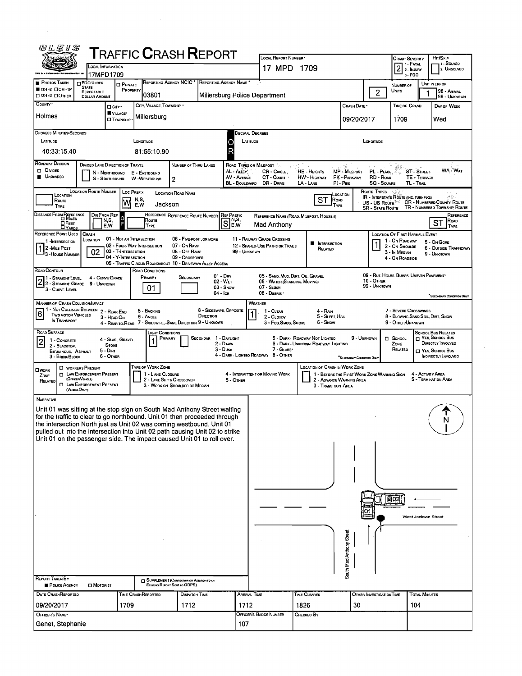| 的儿仨!S                                                                                                                                                                                                                                                                                                                                                                                   |                                                                      |                                                                    | ${\sf T}$ RAFFIC ${\sf C}$ RASH ${\sf R}$ EPORT                                                                |                                                                       |                                                                                                 |                                                                                                                                         |                                                               |                                               |                                                                                  |                              |                                                              |
|-----------------------------------------------------------------------------------------------------------------------------------------------------------------------------------------------------------------------------------------------------------------------------------------------------------------------------------------------------------------------------------------|----------------------------------------------------------------------|--------------------------------------------------------------------|----------------------------------------------------------------------------------------------------------------|-----------------------------------------------------------------------|-------------------------------------------------------------------------------------------------|-----------------------------------------------------------------------------------------------------------------------------------------|---------------------------------------------------------------|-----------------------------------------------|----------------------------------------------------------------------------------|------------------------------|--------------------------------------------------------------|
|                                                                                                                                                                                                                                                                                                                                                                                         |                                                                      |                                                                    |                                                                                                                |                                                                       | LOCAL REPORT NUMBER *                                                                           |                                                                                                                                         |                                                               |                                               | Crash Severity<br>SEVERING                                                       |                              | Hrt/SkiP<br>1 Solved                                         |
|                                                                                                                                                                                                                                                                                                                                                                                         | LOCAL INFORMATION<br>17MPD1709                                       |                                                                    |                                                                                                                |                                                                       | 17 MPD 1709                                                                                     |                                                                                                                                         |                                                               |                                               | $3 - PDO$                                                                        |                              | 2. UNSOLVED                                                  |
| <b>PHOTOS TAKEN</b><br>PDO UNDER                                                                                                                                                                                                                                                                                                                                                        | <b>O</b> PRIVATE                                                     | REPORTING AGENCY NCIC <sup>*</sup>                                 |                                                                                                                | REPORTING AGENCY NAME                                                 |                                                                                                 |                                                                                                                                         |                                                               |                                               | NUMBER OF                                                                        |                              | UNIT IN ERROR                                                |
| <b>STATE</b><br>OH-2 00H-1P<br>REPORTABLE<br><b>DOH-3 DOTHER</b><br><b>DOLLAR AMOUNT</b>                                                                                                                                                                                                                                                                                                |                                                                      | PROPERTY<br>03801                                                  |                                                                                                                | Millersburg Police Department                                         |                                                                                                 |                                                                                                                                         |                                                               | $\mathbf{2}$                                  | Units                                                                            |                              | <b>98 - ANIMAL</b><br>99 - UNKNOWN                           |
| COUNTY <sup>.</sup>                                                                                                                                                                                                                                                                                                                                                                     | $\Box$ City $\cdot$                                                  | CITY, VILLAGE, TOWNSHIP .                                          |                                                                                                                |                                                                       |                                                                                                 |                                                                                                                                         | CRASH DATE *                                                  |                                               | TIME OF CRASH                                                                    |                              | DAY OF WEEK                                                  |
| Holmes                                                                                                                                                                                                                                                                                                                                                                                  | VILLAGE*<br>□ Township                                               | Millersburg                                                        |                                                                                                                |                                                                       |                                                                                                 |                                                                                                                                         | 09/20/2017                                                    |                                               | 1709                                                                             |                              | Wed                                                          |
| DEGREES/MINUTES/SECONDS                                                                                                                                                                                                                                                                                                                                                                 |                                                                      |                                                                    |                                                                                                                | Decimal Degrees                                                       |                                                                                                 |                                                                                                                                         |                                                               |                                               |                                                                                  |                              |                                                              |
| LATITUDE<br>40:33:15.40                                                                                                                                                                                                                                                                                                                                                                 |                                                                      | LONGITUDE<br>81.55:10.90                                           |                                                                                                                | LATITUDE<br>R                                                         |                                                                                                 |                                                                                                                                         |                                                               | LONGITUDE                                     |                                                                                  |                              |                                                              |
| ROADWAY DIVISION<br><b>O</b> Divided<br><b>UNDIVIDED</b>                                                                                                                                                                                                                                                                                                                                | DIVIDED LANE DIRECTION OF TRAVEL<br>N - NORTHBOUND<br>S - SOUTHBOUND | E - EASTBOUND<br>W -WESTBOUND                                      | NUMBER OF THRU LANES<br>2                                                                                      | ROAD TYPES OR MILEPOST<br>AL - Auev.<br>AV - AVENUE<br>BL - BOULEVARD | CR - CIRCLE<br>CT - COURT<br>DR - DRIVE                                                         | HE - HEIGHTS<br><b>HW</b> - HIGHWAY<br>LA - LANE                                                                                        | $\gamma_{\rm ex}$<br>MP - MILEPOST<br>PK - PARKWAY<br>PI-PIKE | PL - PLACE<br>RD - ROAD<br><b>SQ - SOUARE</b> | TL - Tral                                                                        | ST - STREET-<br>TE - TERRACE | WA-WAY                                                       |
| LOCATION ROUTE NUMBER<br>Roure                                                                                                                                                                                                                                                                                                                                                          |                                                                      | Loc PREFIX<br>N,S,                                                 | <b>LOCATION ROAD NAME</b>                                                                                      |                                                                       |                                                                                                 | ST<br>Road                                                                                                                              | <b>OCATION</b>                                                | <b>ROUTE TYPES</b><br>US - US Route           | <b>IR - INTERSTATE ROUTE (INC. TURNPIKE)</b>                                     |                              | ۽ دياهي<br><b>CR - NUMBERED COUNTY ROUTE</b>                 |
| Type                                                                                                                                                                                                                                                                                                                                                                                    |                                                                      | E,W<br>Jackson                                                     |                                                                                                                |                                                                       |                                                                                                 | TYPE                                                                                                                                    |                                                               | <b>SR - STATE ROUTE</b>                       |                                                                                  |                              | TR - NUMBERED TOWNSHIP, ROUTE<br>REFERENCE                   |
| DISTANCE FROM REFERENCE<br><b>E</b> FEET                                                                                                                                                                                                                                                                                                                                                | DIR FROM REF<br>N,S,<br>E,W                                          | Route<br>TYPE                                                      | REFERENCE REFERENCE ROUTE NUMBER REF PREFIX                                                                    | N,S,<br>S<br>EW                                                       | Mad Anthony                                                                                     | REFERENCE NAME (ROAD, MILEPOST, HOUSE #)                                                                                                |                                                               |                                               |                                                                                  |                              | Road<br>sт<br>TYPE                                           |
| REFERENCE POINT USEO<br>CRASH<br>LDCATION<br>1-INTERSECTION                                                                                                                                                                                                                                                                                                                             | 01 - NDT AN INTERSECTION                                             |                                                                    | 06 - FIVE-POINT, OR MORE                                                                                       |                                                                       | 11 - RAILWAY GRADE CROSSING                                                                     |                                                                                                                                         |                                                               |                                               | LOCATION OF FIRST HARMFUL EVENT<br>1 - On RDADWAY                                |                              | 5 - On Gore                                                  |
| 1 2 - MILE POST<br>02<br><sup>1</sup> 3 -House Number                                                                                                                                                                                                                                                                                                                                   | 03 - T-INTERSECTION<br>04 - Y-INTERSECTION                           | 02 - FOUR WAY INTERSECTION                                         | 07 - On RAMP<br>08 - OFF RAMP<br>09 - Crossover<br>05 - TRAFFIC CIRCLE/ ROUNDABOUT 10 - DRIVEWAY/ ALLEY ACCESS | 99 - UNKNOWN                                                          | 12 - SHARED-USE PATHS OR TRAILS                                                                 | ■<br><b>NTERSECTION</b><br>Related                                                                                                      |                                                               |                                               | 2 - On Shoulde<br>3 - In MEDIAN<br>4 - On ROADSIDE                               |                              | 6 - OUTSIDE TRAFFICWAY<br>9 - Unknown                        |
| Road Contour<br>1 - Straight Level<br>2 - STRAIGHT LEVEL 4 - CURVE CH<br>3 - CURVE LEVEL                                                                                                                                                                                                                                                                                                | 4 - CURVE GRADE                                                      | <b>ROAD CONDITIONS</b><br>PRIMARY<br>01                            | SECONDARY                                                                                                      | $01 - DRY$<br>02 - Wet<br>03 - SNDW<br>$04 -$ Ice                     | 05 - SAND, MUD, DIRT, OIL, GRAVEL<br>06 - WATER (STANDING, MOVING)<br>07 - SLUSH<br>08 - DEBRIS |                                                                                                                                         |                                                               | 10 - OTHER<br>99 - UNKNOWN                    | 09 - RUT, HOLES, BUMPS, UNEVEN PAVEMENT*                                         |                              |                                                              |
| <b>MANNER OF CRASH COLLISION/IMPACT</b>                                                                                                                                                                                                                                                                                                                                                 |                                                                      |                                                                    |                                                                                                                |                                                                       | WEATHER                                                                                         |                                                                                                                                         |                                                               |                                               |                                                                                  |                              | *SECONDARY CONDITION ONLY                                    |
| - NOT COLLISION BETWEEN<br>6<br>Two motor Vehicles<br>IN TRANSPORT                                                                                                                                                                                                                                                                                                                      | 2 - REAR-END<br>3 - HEAD-ON                                          | 5 - BACKING<br>6 - Angle                                           | DIRECTION<br>4 - REAR-TO-REAR 7 - SIDESWIPE, -SAME DIRECTION 9 - UNKNOWN                                       | 8 - SIDESWIPE, OPPOSITE                                               | 1 - CLEAR<br>2 - CLOUDY<br>3 - Fog, Smog, Smoke                                                 | 4 - Rain<br>5 - Sleet, Hail<br>6 - SNDW                                                                                                 |                                                               |                                               | 7 - SEVERE CROSSWINDS<br>8 - BLOWING SAND, SOIL, DIRT, SNOW<br>9 - Other/Unknown |                              |                                                              |
| ROAD SURFACE<br>1 - CONCRETE<br>$\overline{\mathbf{c}}$                                                                                                                                                                                                                                                                                                                                 | 4 - SLAG, GRAVEL,                                                    | LIGHT CONDITIONS<br>PRIMARY                                        |                                                                                                                | SECONDAR 1 - DAYLIGHT<br>2 - DAWN                                     |                                                                                                 | 5 - DARK - ROADWAY NOT LIGHTED                                                                                                          | 9 - UNKNOWN                                                   |                                               | $\Box$ SCHDOL                                                                    |                              | SCHOOL BUS RELATED<br>T YES, SCHOOL BUS<br>DIRECTLY INVOLVED |
| 2 - BLACKTOP,<br><b>BITUMINOUS. ASPHALT</b><br>3 - BRICK/BLOCK                                                                                                                                                                                                                                                                                                                          | <b>STONE</b><br>$5 - Durt$<br>6 - OTHER                              |                                                                    |                                                                                                                | $3 - D$ USK                                                           | 7 - GLARE*<br>4 - DARK - LIGHTEO RDADWAY 8 - OTHER                                              | 6 - DARK - UNKNOWN ROADWAY LIGHTING                                                                                                     | "SECONDARY CONDITION DAL                                      |                                               | ZONE<br>RELATED                                                                  |                              | YES, SCHODL BUS<br>INDIRECTLY INVOLVED                       |
| D WORKERS PRESENT<br><b>OWDRK</b><br><b>T LAW ENFORCEMENT PRESENT</b><br>ZONE<br>(OFFICER/VENCLE)<br>RELATED<br><b>O LAW ENFORCEMENT PRESENT</b><br>(VEHLLEOMY)                                                                                                                                                                                                                         |                                                                      | TYPE OF WORK ZONE<br>1 - LANE CLOSURE<br>2 - LANE SHIFT/ CROSSOVER | 3 - WORK ON SHOULDER OR MEDIAN                                                                                 | 5 - OTHER                                                             | 4 - INTERMITTENT OR MOVING WORK                                                                 | <b>LDCATION OF CRASH IN WDRK ZONE</b><br>1 - BEFORE THE FIRST WORK ZONE WARNING SIGN<br>2 - ADVANCE WARNING AREA<br>3 - Transition Area |                                                               |                                               |                                                                                  | 4 - ACTIVITY AREA            | 5 - TERMINATION AREA                                         |
| NARRATIVE                                                                                                                                                                                                                                                                                                                                                                               |                                                                      |                                                                    |                                                                                                                |                                                                       |                                                                                                 |                                                                                                                                         |                                                               |                                               |                                                                                  |                              |                                                              |
| Unit 01 was sitting at the stop sign on South Mad Anthony Street waiting<br>for the traffic to clear to go northbound. Unit 01 then proceeded through<br>the intersection North just as Unit 02 was coming westbound. Unit 01<br>pulled out into the intersection into Unit 02 path causing Unit 02 to strike<br>Unit 01 on the passenger side. The impact caused Unit 01 to roll over. |                                                                      |                                                                    |                                                                                                                |                                                                       |                                                                                                 |                                                                                                                                         |                                                               |                                               |                                                                                  |                              | N                                                            |
|                                                                                                                                                                                                                                                                                                                                                                                         |                                                                      |                                                                    |                                                                                                                |                                                                       |                                                                                                 |                                                                                                                                         |                                                               |                                               |                                                                                  |                              |                                                              |
|                                                                                                                                                                                                                                                                                                                                                                                         |                                                                      |                                                                    |                                                                                                                |                                                                       |                                                                                                 |                                                                                                                                         |                                                               |                                               | <b>同02</b>                                                                       |                              |                                                              |
|                                                                                                                                                                                                                                                                                                                                                                                         |                                                                      |                                                                    |                                                                                                                |                                                                       |                                                                                                 |                                                                                                                                         |                                                               |                                               | West Jackson Street                                                              |                              |                                                              |
|                                                                                                                                                                                                                                                                                                                                                                                         |                                                                      |                                                                    |                                                                                                                |                                                                       |                                                                                                 |                                                                                                                                         |                                                               |                                               |                                                                                  |                              |                                                              |
|                                                                                                                                                                                                                                                                                                                                                                                         |                                                                      |                                                                    |                                                                                                                |                                                                       |                                                                                                 |                                                                                                                                         | South Mad Anthony Street                                      |                                               |                                                                                  |                              |                                                              |
| <b>REPORT TAKEN BY</b><br>POLICE AGENCY<br>MOTORIST                                                                                                                                                                                                                                                                                                                                     |                                                                      | EXISTING REPORT SENT TO ODPS)                                      | SUPPLEMENT (CORRECTION OR ADDITION TO AN                                                                       |                                                                       |                                                                                                 |                                                                                                                                         |                                                               |                                               |                                                                                  |                              |                                                              |
| DATE CRASHREPORTED                                                                                                                                                                                                                                                                                                                                                                      |                                                                      | TIME CRASHREPORTED                                                 | DISPATCH TIME                                                                                                  | ARRIVAL TIME                                                          |                                                                                                 | TIME CLEARED                                                                                                                            |                                                               | OTHER INVESTIGATION TIME                      |                                                                                  | <b>TOTAL MINUTES</b>         |                                                              |
| 09/20/2017                                                                                                                                                                                                                                                                                                                                                                              | 1709                                                                 |                                                                    | 1712                                                                                                           | 1712                                                                  |                                                                                                 | 1826                                                                                                                                    | 30                                                            |                                               | 104                                                                              |                              |                                                              |
| OFFICER'S NAME*                                                                                                                                                                                                                                                                                                                                                                         |                                                                      |                                                                    |                                                                                                                |                                                                       | OFFICER'S BADGE NUMBER                                                                          | Снескер Вү                                                                                                                              |                                                               |                                               |                                                                                  |                              |                                                              |
| Genet, Stephanie                                                                                                                                                                                                                                                                                                                                                                        |                                                                      |                                                                    |                                                                                                                | 107                                                                   |                                                                                                 |                                                                                                                                         |                                                               |                                               |                                                                                  |                              |                                                              |

 $\overline{a}$ 

 $\sim$   $\sim$ 

 $\Delta \phi = 0.01$  and  $\Delta \phi = 0.01$ 

 $\hat{\mathcal{A}}$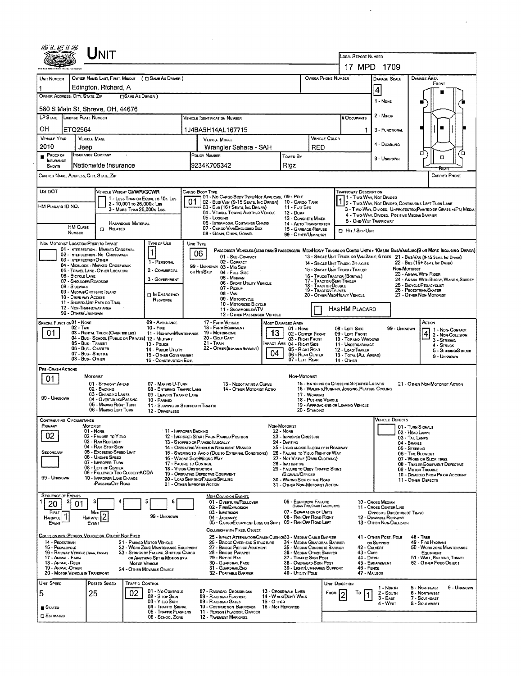|                                                           | UNIT                                                                               |                                                                                 |                                                                                                                                 |                                        |                                                               |                                                                      |                                                                                                                                                                          |                                                                                                                               |  |  |  |
|-----------------------------------------------------------|------------------------------------------------------------------------------------|---------------------------------------------------------------------------------|---------------------------------------------------------------------------------------------------------------------------------|----------------------------------------|---------------------------------------------------------------|----------------------------------------------------------------------|--------------------------------------------------------------------------------------------------------------------------------------------------------------------------|-------------------------------------------------------------------------------------------------------------------------------|--|--|--|
|                                                           |                                                                                    |                                                                                 |                                                                                                                                 |                                        |                                                               | LOCAL REPORT NUMBER                                                  | 17 MPD 1709                                                                                                                                                              |                                                                                                                               |  |  |  |
| UNIT NUMBER                                               |                                                                                    | OWNER NAME: LAST, FIRST, MIDDLE ( C SAME AS DRIVER )                            |                                                                                                                                 |                                        | OWNER PHONE NUMBER                                            |                                                                      | DAMAGE SCALE                                                                                                                                                             | DAMAGE AREA                                                                                                                   |  |  |  |
|                                                           | Edington, Richard, A                                                               |                                                                                 |                                                                                                                                 |                                        |                                                               |                                                                      | 4                                                                                                                                                                        | FRONT                                                                                                                         |  |  |  |
| OWNER ADDRESS: CITY, STATE, ZIP                           |                                                                                    | <b>CISAME AS DRIVER</b> )                                                       |                                                                                                                                 |                                        |                                                               |                                                                      |                                                                                                                                                                          |                                                                                                                               |  |  |  |
|                                                           | 580 S Main St, Shreve, OH, 44676                                                   |                                                                                 |                                                                                                                                 |                                        |                                                               |                                                                      | 1 - NONE                                                                                                                                                                 |                                                                                                                               |  |  |  |
| LP STATE LICENSE PLATE NUMBER                             |                                                                                    |                                                                                 | VEHICLE IDENTIFICATION NUMBER                                                                                                   |                                        |                                                               | # Occupants                                                          | 2 - Minon                                                                                                                                                                |                                                                                                                               |  |  |  |
| OН<br>ETQ2564                                             |                                                                                    |                                                                                 | 1J4BA5H14AL167715                                                                                                               |                                        |                                                               | 1                                                                    | 3 - FUNCTIONAL                                                                                                                                                           |                                                                                                                               |  |  |  |
| <b>VEHICLE YEAR</b>                                       | <b>VEHICLE MAKE</b>                                                                |                                                                                 | <b>VEHICLE MODEL</b>                                                                                                            | <b>VEHICLE COLOR</b><br>RED            |                                                               |                                                                      |                                                                                                                                                                          |                                                                                                                               |  |  |  |
| 2010<br>PROOF OF                                          | Jeep<br><b>INSURANCE COMPANY</b>                                                   |                                                                                 | Wrangler Sahara - SAH<br>POLICY NUMBER<br><b>Towed By</b>                                                                       |                                        |                                                               |                                                                      | 4 - DISABLING                                                                                                                                                            | σ<br>O                                                                                                                        |  |  |  |
| INSURANCE<br>SHOWN                                        | Nationwide Insurance                                                               |                                                                                 | 9234K705342<br>Rigz                                                                                                             |                                        |                                                               |                                                                      | 9 - UNKNOWN                                                                                                                                                              |                                                                                                                               |  |  |  |
| CARRIER NAME, ADDRESS, CITY, STATE, ZIP                   |                                                                                    |                                                                                 |                                                                                                                                 |                                        |                                                               |                                                                      |                                                                                                                                                                          | <b>CARRIER PHONE</b>                                                                                                          |  |  |  |
| US DOT                                                    |                                                                                    | <b>VEHICLE WEIGHT GVWR/GCWR</b>                                                 | CARGO BODY TYPE                                                                                                                 |                                        |                                                               | <b>TRAFFICWAY DESCRIPTION</b>                                        |                                                                                                                                                                          |                                                                                                                               |  |  |  |
|                                                           |                                                                                    | 1 - LESS THAN OR EQUAL TO 10K LBS<br>2 - 10,001 to 26,000k Las                  | 01 - No CARGO BODY TYPE/NOT APPLICABL 09 - POLE<br>01<br>02 - Busi Van (9-15 Seats, Ing Driver)                                 |                                        | 10 - Cargo TANK                                               |                                                                      | 1 - Two-Way, Nor Divided                                                                                                                                                 |                                                                                                                               |  |  |  |
| HM PLACARD ID NO.                                         |                                                                                    | 3 - MORE THAN 26,000K LBS.                                                      | 03 - Bus (16+ Seats, Inc Driver)<br>04 - VEHICLE TOWING ANOTHER VEHICLE                                                         | 11 - FLAT BED<br>12 - Dump             |                                                               |                                                                      | 1 - Two-Way, Not Divided Continuous LEFT TURN LANE<br>3 - T WO-WAY, DIVIDED, UNPROTECTED (PAINTED OR GRASS >4FT.) MEDIA<br>4 - TWO-WAY, DIVIDED, POSITIVE MEDIAN BARRIER |                                                                                                                               |  |  |  |
|                                                           |                                                                                    | <b>HAZARDOUS MATERIAL</b>                                                       | 05 - Logging<br><b>06 - INTERMODAL CONTAINER CHASIS</b>                                                                         |                                        | 13 - CONCRETE MIXER<br>14 - AUTO TRANSPORTER                  | 5 - ONE-WAY TRAFFICWAY                                               |                                                                                                                                                                          |                                                                                                                               |  |  |  |
| <b>HM CLASS</b><br>NUMBER                                 | $\Box$ Related                                                                     |                                                                                 | 07 - CARGO VAN/ENCLOSED BOX<br>08 - GRAIN, CHIPS, GRAVEL                                                                        |                                        | 15 - GARBAGE /REFUSE<br>99 - OTHER/UNKNOWN                    | <b>El Hit / Skie Unit</b>                                            |                                                                                                                                                                          |                                                                                                                               |  |  |  |
|                                                           | NON-MOTORIST LOCATION PRIOR TO IMPACT<br>01 - INTERSECTION - MARKED CROSSWAL       | <b>TYPE OF USE</b>                                                              | UNIT TYPE                                                                                                                       |                                        |                                                               |                                                                      |                                                                                                                                                                          | PASSENGER VEHICLES (LESS THAN 9 PASSENGERS MEDIMEAVY TRUCKS OR COMBO UNITS > 10X LBS BUS/VAMLING (9 OR MORE INCLUDING DRIVER) |  |  |  |
|                                                           | 02 - INTERSECTION - NO CROSSWALK<br>03 - INTERSECTION OTHER                        | $\mathbf{1}$<br>1 - PERSONAL                                                    | 06<br>01 - SUB-COMPACT<br>02 - COMPACT                                                                                          |                                        |                                                               |                                                                      |                                                                                                                                                                          | 13 - SINGLE UNIT TRUCK OR VAN 2AXLE, 6 TIRES 21 - BUS/VAN (9-15 Seats, Inc Driver)                                            |  |  |  |
|                                                           | 04 - MIDBLOCK - MARKED CROSSWALK<br>05 - TRAVEL LANE - OTHER LOCATION              | 2 - COMMERCIAL                                                                  | 99 - UNKNOWN 03 - MID SIZE<br>or Hit/Skip<br>04 - Full Size                                                                     |                                        |                                                               | 14 - SINGLE UNIT TRUCK: 3+ AXLES<br>15 - SINGLE UNIT TRUCK / TRAILER |                                                                                                                                                                          | 22 - Bus (15+ Seats, Inc Danea)<br>NON-MOTORIST                                                                               |  |  |  |
| <b>06 - BICYCLE LANE</b>                                  | 07 - SHOULDER/ROADSIDE                                                             | 3 - GOVERNMENT                                                                  | 05 - MINIVAN<br>06 - Sport UTILITY VEHICLE                                                                                      |                                        |                                                               | 16 - TRUCK/TRACTOR (BOSTAIL)<br>17 - TRACTOR/SEMI-TRAILER            |                                                                                                                                                                          | 23 - ANIMAL WITH RIDER<br>24 - ANIMAL WITH BUGGY, WAGON, SURREY                                                               |  |  |  |
| 08 - Sidewalk                                             | 09 - MEDIAN/CROSSING ISLAND                                                        | <b>ET IN EMERGENCY</b>                                                          | $07 - P_{ICKUP}$<br>08 - VAN                                                                                                    |                                        | 18 - TRACTOR/DOUBLE<br>19 - TRACTOR/TROLES                    | 20 - OTHER MEO/HEAVY VEHICLE                                         |                                                                                                                                                                          | 25 - BICYCLE/PEOACYCLIST<br>26 - PEDESTRIAN/SKATER<br>27 - OTHER NON-MOTORIST                                                 |  |  |  |
|                                                           | 10 - DRIVE WAY ACCESS<br>11 - SHARED-USE PATH OR TRAIL                             | RESPONSE                                                                        | 09 - MOTORCYCLE<br>10 - Motorized Bicycle                                                                                       |                                        |                                                               |                                                                      |                                                                                                                                                                          |                                                                                                                               |  |  |  |
|                                                           | 12 - NON-TRAFFICWAY AREA<br>99 - OTHER/UNKNOWN                                     |                                                                                 | 11 - SNOWMOBILE/ATV<br>12 - OTHER PASSENGER VEHICLE                                                                             |                                        |                                                               | HAS HM PLACARD                                                       |                                                                                                                                                                          |                                                                                                                               |  |  |  |
| SPECIAL FUNCTION 01 - NONE                                | 02 - Taxi                                                                          | 09 - AMBULANCE<br>$10 -$ Fine                                                   | 17 - FARM VEHICLE<br>18 - FARM EQUIPMENT                                                                                        | MOST DAMAGED AREA<br>$01 - None$       |                                                               | 08 - LEFT SIDE                                                       | 99 - Unknown                                                                                                                                                             | ACTION<br>1 - Non Contact                                                                                                     |  |  |  |
| 01                                                        | 03 - RENTAL TRUCK (OVER 10K LBS)                                                   | 11 - HIGHWAY/MAINTENANCE<br>04 - BUS - SCHOOL (PUBLIC OR PRIVATE) 12 - MILITARY | 19 - MOTORHOME<br>20 - GOLF CART                                                                                                | 13                                     | 02 - CENTER FRONT<br>03 - Right Front                         | 09 - LEFT FRONT<br>10 - TOP AND WINDOWS                              |                                                                                                                                                                          | 4<br>2 - NON-COLLISION<br>$3 -$ STRIKING                                                                                      |  |  |  |
|                                                           | 05 - Bus - Transit<br>06 - Bus - Charter                                           | 13 - Pouce<br>14 - Public Utility                                               | 21 - Train<br>22 - OTHER (EXPLAN IN NARRATIVE)                                                                                  | MPACT ARE 04 - RIGHT SIDE<br>04        | 05 - Right Rear                                               | 11 - UNDERCARRIAGE<br>12 - LOAD/TRAILER                              |                                                                                                                                                                          | 4 - STRUCK<br>5 - STRIKING/STRUCK                                                                                             |  |  |  |
|                                                           | 07 - Bus - Shurnue<br>08 - Bus - Onien                                             | 15 - OTHER GOVERNMENT<br>16 - CONSTRUCTION EOP.                                 |                                                                                                                                 |                                        | 06 - REAR CENTER<br>07 - LEFT REAR                            | 13 - TOTAL (ALL AREAS)<br>14 - OTHER                                 |                                                                                                                                                                          | 9 - UNKNOWN                                                                                                                   |  |  |  |
| PRE-CRASH ACTIONS                                         | MOTORIST                                                                           |                                                                                 |                                                                                                                                 |                                        | Non-Motorist                                                  |                                                                      |                                                                                                                                                                          |                                                                                                                               |  |  |  |
| 01                                                        | 01 - STRAIGHT AHEAD                                                                | 07 - MAKING U-TURN                                                              | 13 - Negotiating a Curve                                                                                                        |                                        |                                                               | 15 - ENTERING OR CROSSING SPECIFIED LOCATIO                          |                                                                                                                                                                          | 21 - OTHER NON-MOTORIST ACTION                                                                                                |  |  |  |
| 99 - UNKNOWN                                              | 02 - BACKING<br>03 - CHANGING LANES<br>04 - OVERTAKING/PASSING                     | 08 - ENTERING TRAFFIC LANE<br>09 - LEAVING TRAFFIC LANE                         | 14 - OTHER MOTORIST ACTIO                                                                                                       | 17 - WORKING                           | 16 - WALKING, RUNNING, JOGGING, PLAYING, CYCLING              |                                                                      |                                                                                                                                                                          |                                                                                                                               |  |  |  |
|                                                           | 05 - MAKING RIGHT TURN<br>06 - Making Left Turn                                    | 10 - PARKED<br>12 - DRIVERLESS                                                  | 11 - Slowing or Stopped in Traffic                                                                                              |                                        | 18 - PUSHING VEHICLE<br>20 - STANDING                         | 19 - APPROACHING OR LEAVING VEHICLE                                  |                                                                                                                                                                          |                                                                                                                               |  |  |  |
| <b>CONTRIBUTING CIRCUMSTANCE</b>                          |                                                                                    |                                                                                 |                                                                                                                                 |                                        |                                                               |                                                                      | <b>VEHICLE DEFECTS</b>                                                                                                                                                   |                                                                                                                               |  |  |  |
| <b>PRIMAR</b>                                             | MOTORIST<br>01 - None                                                              |                                                                                 | ' 11 - Improper Backing                                                                                                         | NON-MOTORIST<br><b>22 - NONE</b>       |                                                               |                                                                      |                                                                                                                                                                          | 01 - TURN SIGNALS<br>02 - Head Lamps                                                                                          |  |  |  |
| 02                                                        | 02 - FAILURE TO YIELD<br>03 - RAN RED LIGHT                                        |                                                                                 | 12 - IMPROPER START FROM PARKED POSITION<br>13 - STOPPED OR PARKED LLEGALLY                                                     | 23 - IMPROPER CROSSING<br>24 - DARTING |                                                               |                                                                      |                                                                                                                                                                          | 03 - TAIL LAMPS<br>04 - BRAKES                                                                                                |  |  |  |
| <b>SECONDARY</b>                                          | 04 - RAN STOP SIGN<br>05 - EXCEEDED SPEED LIMIT                                    |                                                                                 | 14 - OPERATING VEHICLE IN NEGLIGENT MANNER<br>15 - Swering to Avoid (Due to External Conditions)                                | 26 - FALURE TO YIELO RIGHT OF WAY      | 25 - LYING ANDJOR LLEGALLY IN ROADWAY                         |                                                                      |                                                                                                                                                                          | 05 - STEERING<br>06 - TIRE BLOWOUT                                                                                            |  |  |  |
|                                                           | 06 - UNSAFE SPEED<br>07 - IMPROPER TURN                                            |                                                                                 | 16 - WRONG SIQE/WRONG WAY<br>17 - FALURE TO CONTROL                                                                             | 28 - INATTENTIVE                       | 27 - NOT VISIBLE (DARK CLOTHING)                              |                                                                      |                                                                                                                                                                          | 07 - WORN OR SLICK TIRES<br>08 - TRARER EQUIPMENT DEFECTIVE                                                                   |  |  |  |
| 99 - UNKNOWN                                              | 08 - LEFT OF CENTER<br>09 - FOLLOWED TOO CLOSELY/ACDA<br>10 - IMPROPER LANE CHANGE |                                                                                 | <b>18 - VISION OBSTRUCTION</b><br>19 - OPERATING DEFECTIVE EQUIPMENT                                                            | SIGNALS/OFFICER                        | 29 - FAILURE TO OBEY TRAFFIC SIGNS                            |                                                                      |                                                                                                                                                                          | 09 - MOTOR TROUBLE<br>10 - DISABLEO FROM PRIOR ACCIDENT                                                                       |  |  |  |
|                                                           | <b>PASSING/OFF ROAD</b>                                                            |                                                                                 | 20 - LOAD SHIFTING/FALLING/SPILLING<br>21 - OTHER IMPROPER ACTION                                                               |                                        | 30 - WRONG SIDE OF THE ROAD<br>31 - OTHER NON-MOTORIST ACTION |                                                                      |                                                                                                                                                                          | 11 - OTHER DEFECTS                                                                                                            |  |  |  |
| <b>SEQUENCE OF EVENTS</b>                                 |                                                                                    | 6                                                                               | <b>NON-COLLISION EVENTS</b><br>01 - OVERTURN/ROLLOVER                                                                           |                                        | 06 - EQUIPMENT FAILURE                                        |                                                                      | 10 - Cross Meorn                                                                                                                                                         |                                                                                                                               |  |  |  |
| 20<br>FIRST                                               | 01<br>Most                                                                         |                                                                                 | 02 - FIRE/EXPLOSION<br>03 - IMMERSION                                                                                           |                                        | (BLOWN THIS, BRAKE FAILURS, ETC)<br>07 - SEPARATION OF UNITS  |                                                                      | 11 - Cross Center Line<br>OPPOSITE DIRECTION OF TRAVEL                                                                                                                   |                                                                                                                               |  |  |  |
| <b>HARMFUL</b><br>EVENT                                   | 2<br>HARMFUL<br>EVENT                                                              | 99 - UNKNOWN                                                                    | 04 - JACKKNIFE<br>05 - CARGO/EOUIPMENT LOSS OR SHIFT                                                                            |                                        | 08 - RAN OFF RDAD RIGHT<br>09 - RAN OPF ROAD LEFT             |                                                                      | 12 - DOWNHILL RUNAWAY<br>13 - OTHER NON-COLLISION                                                                                                                        |                                                                                                                               |  |  |  |
|                                                           | <u>Collision with Person, Vehicle or Object Not Fixed</u>                          |                                                                                 | COLLISION WITH FIXED, OBJECT                                                                                                    |                                        |                                                               |                                                                      |                                                                                                                                                                          |                                                                                                                               |  |  |  |
| 14 - PEOESTRIAN<br>15 - PEOALCYCLE                        |                                                                                    | 21 - PARKED MOTOR VEHICLE<br>22 - WORK ZONE MAINTENANCE EQUIPMENT               | 25 - IMPACT ATTENUATOR/CRASH CUSHION33 - MEDIAN CABLE BARRIER<br>26 - BRIDGE OVERHEAD STRUCTURE<br>27 - BRIDGE PIER OR ABUTMENT |                                        | 34 - MEDIAN GUARDRAIL BARRIER<br>35 - MEDIAN CONCRETE BARRIER |                                                                      | 41 - OTHER POST, POLE<br>OR SUPPORT<br>42 - CULVERT                                                                                                                      | $48 -$ TREE<br>49 - FIRE HYDRANT<br><b>50 - WORK ZONE MAINTENANCE</b>                                                         |  |  |  |
| 16 - RAILWAY VEHICLE (TAAN, EMGINE)<br>17 - ANIMAL - FARM |                                                                                    | 23 - STRUCK BY FALLING, SHIFTING CARGO<br>OR ANYTHING SET IN MOTION BY A        | 28 - BRIDGE PARAPET<br>29 - Bridge Rail                                                                                         |                                        | 36 - MEDIAN OTHER BARRIER<br>37 - Traffic Sign Post           | $43 - C$ u $R$ B<br>44 - Dirch                                       |                                                                                                                                                                          | EQUIPMENT<br>51 - WALL, BULDING, TUNNEL                                                                                       |  |  |  |
| 18 - Animal - Deer<br>19 - ANMAL OTHER                    |                                                                                    | <b>MOTOR VEHICLE</b><br>24 - OTHER MOVABLE OBJECT                               | 30 - GUARDRAIL FACE<br>31 - GUARDRAILEND                                                                                        |                                        | 38 - Overhead Sign Post<br>39 - LIGHT/LUMINARIES SUPPORT      | 46 - FENCE                                                           | 45 - EMBANKMENT                                                                                                                                                          | 52 - OTHER FIXEO OBJECT                                                                                                       |  |  |  |
| 20 - MOTOR VEHICLE IN TRANSPORT                           |                                                                                    |                                                                                 | 32 - PORTABLE BARRIER                                                                                                           |                                        | 40 - UTILITY POLE                                             |                                                                      | 47 - MAILBOX                                                                                                                                                             |                                                                                                                               |  |  |  |
| UNIT SPEED<br>5                                           | Posted Speed<br>25                                                                 | <b>TRAFFIC CONTROL</b><br>01 - No CONTROLS<br>02                                | 07 - RAILROAD CROSSBUCKS                                                                                                        | 13 - CROSSWALK LINES                   |                                                               | UNIT DIRECTION<br>From<br>То                                         | 1 - North<br>$2 -$ South                                                                                                                                                 | 5 - NORTHEAST<br>9 - Unknown<br>6 - NORTHWEST                                                                                 |  |  |  |
|                                                           |                                                                                    | 02 - S rop Sign<br>03 - YIELD SIGN                                              | 08 - RAILROAD FLASHERS<br>09 - RAILROAD GATES                                                                                   | 14 - W ALK/DON'T WALK<br>15 - O THER   |                                                               | 1                                                                    | $3 - East$<br>4 - West                                                                                                                                                   | 7 - SOUTHEAST<br>8 - SOUTHWEST                                                                                                |  |  |  |
| <b>STATED</b><br><b>CI ESTIMATED</b>                      |                                                                                    | 04 - TRAFFIC SIGNAL<br>05 - TRAFFIC FLASHERS                                    | 10 - COSTRUCTION BARRICADE<br>11 - PERSON (FLAGGER, OFFICER                                                                     | 16 - Not Reported                      |                                                               |                                                                      |                                                                                                                                                                          |                                                                                                                               |  |  |  |
|                                                           |                                                                                    | 06 - SCHOOL ZONE                                                                | <b>12 - PAVEMENT MARKINGS</b>                                                                                                   |                                        |                                                               |                                                                      |                                                                                                                                                                          |                                                                                                                               |  |  |  |

 $\frac{1}{2}$  ,  $\frac{1}{2}$ 

 $\sim$   $\alpha$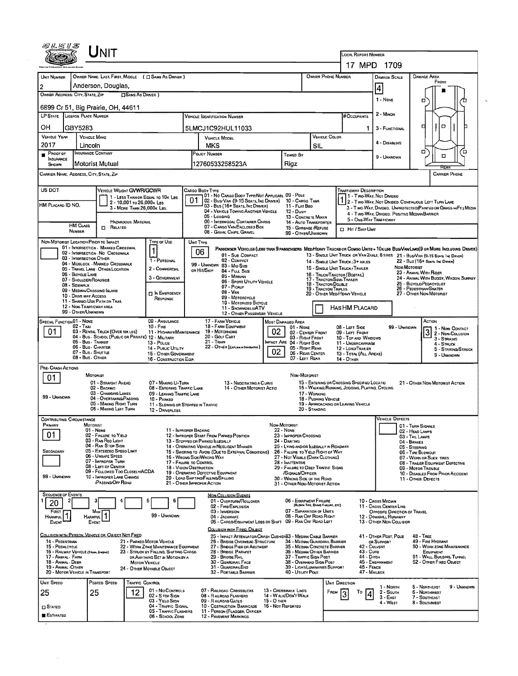| UNIT                                                                                                                                                                                                                                                                                                                                |                                                                                                |                                                                                                                 |                                                                                         |                                                                                                 |                                                                                 |                                                                                                                              |  |  |  |  |  |  |
|-------------------------------------------------------------------------------------------------------------------------------------------------------------------------------------------------------------------------------------------------------------------------------------------------------------------------------------|------------------------------------------------------------------------------------------------|-----------------------------------------------------------------------------------------------------------------|-----------------------------------------------------------------------------------------|-------------------------------------------------------------------------------------------------|---------------------------------------------------------------------------------|------------------------------------------------------------------------------------------------------------------------------|--|--|--|--|--|--|
|                                                                                                                                                                                                                                                                                                                                     |                                                                                                |                                                                                                                 | LOCAL REPORT NUMBER<br>17 MPD 1709                                                      |                                                                                                 |                                                                                 |                                                                                                                              |  |  |  |  |  |  |
| OWNER NAME: LAST, FIRST, MIDDLE ( C SAME AS DRIVER )<br>OWNER PHONE NUMBER<br>UNIT NUMBER<br><b>DAMAGE AREA</b><br><b>DAMAGE SCALE</b>                                                                                                                                                                                              |                                                                                                |                                                                                                                 |                                                                                         |                                                                                                 |                                                                                 |                                                                                                                              |  |  |  |  |  |  |
| Anderson, Douglas,<br>$\overline{2}$                                                                                                                                                                                                                                                                                                |                                                                                                |                                                                                                                 | 4                                                                                       | FRONT                                                                                           |                                                                                 |                                                                                                                              |  |  |  |  |  |  |
| OWNER ADDRESS: CITY, STATE, ZIP<br><b>CISAME AS DRIVER</b> )<br>1 - NONE<br>□                                                                                                                                                                                                                                                       |                                                                                                |                                                                                                                 |                                                                                         |                                                                                                 |                                                                                 |                                                                                                                              |  |  |  |  |  |  |
| 6899 Cr 51, Big Prairie, OH, 44611<br>LP STATE LICENSE PLATE NUMBER                                                                                                                                                                                                                                                                 | # Occupants                                                                                    | 2 - MINOR                                                                                                       |                                                                                         |                                                                                                 |                                                                                 |                                                                                                                              |  |  |  |  |  |  |
| OН<br>GBY5283                                                                                                                                                                                                                                                                                                                       |                                                                                                | 5LMCJ1C92HUL11033                                                                                               |                                                                                         | 1                                                                                               | 3 - FUNCTIONAL                                                                  | o<br>п                                                                                                                       |  |  |  |  |  |  |
| <b>VEHICLE YEAR</b><br><b>VEHICLE MAKE</b><br>2017                                                                                                                                                                                                                                                                                  |                                                                                                | VEHICLE MODEL                                                                                                   |                                                                                         | VEHICLE COLOR                                                                                   | 4 - DISABLING                                                                   |                                                                                                                              |  |  |  |  |  |  |
| Lincoln<br><b>INSURANCE COMPANY</b><br>PROOF OF                                                                                                                                                                                                                                                                                     |                                                                                                | MKS<br>POLICY NUMBER                                                                                            | SIL<br>Towed By                                                                         |                                                                                                 | 9 - Unknown                                                                     | ۵<br>۵<br>O                                                                                                                  |  |  |  |  |  |  |
| INSURANCE<br>Motorist Mutual<br>SHOWN                                                                                                                                                                                                                                                                                               |                                                                                                | 12760533258523A                                                                                                 | Rigz                                                                                    |                                                                                                 |                                                                                 |                                                                                                                              |  |  |  |  |  |  |
| CARRIER NAME, ADDRESS, CITY, STATE, ZIP<br><b>CARRIER PHONE</b>                                                                                                                                                                                                                                                                     |                                                                                                |                                                                                                                 |                                                                                         |                                                                                                 |                                                                                 |                                                                                                                              |  |  |  |  |  |  |
| US DOT<br>VEHICLE WEIGHT GWWR/GCWR<br><b>TRAFFICWAY DESCRIPTION</b><br>CARGO BODY TYPE<br>01 - No CARGO BOOY TYPE/NOT APPLICABL 09 - POLE<br>1 1 - Two-Way, Not Divideo<br>1 - LESS THAN OR EQUAL TO 10K LBS                                                                                                                        |                                                                                                |                                                                                                                 |                                                                                         |                                                                                                 |                                                                                 |                                                                                                                              |  |  |  |  |  |  |
| HM PLACARD ID NO,                                                                                                                                                                                                                                                                                                                   | 2 - 10,001 to 26,000x Las<br>3 - MORE THAN 26,000K LBS.                                        | 02 - Bus Van (9-15 Seats, Inc Driver)<br>03 - Bus (16+ Seats, Inc Damer)<br>04 - VEHICLE TOWING ANOTHER VEHICLE | 10 - CARGO TANK<br>11 - FLAT BEO                                                        |                                                                                                 |                                                                                 | 2 - Two WAY, Not Divided, Continuous Left Turn Lane<br>3 - Two WAY, DIVIDEO, UNPROTECTEO(PAINTED OR GRASS >4FT.) MEDIA       |  |  |  |  |  |  |
|                                                                                                                                                                                                                                                                                                                                     | <b>HAZARDOUS MATERIAL</b>                                                                      | 05 - Logging<br>06 - INTERMODAL CONTAINER CHASIS                                                                | $12 - D$ ume<br>13 - CONCRETE MIXER<br>14 - AUTO TRANSPORTER                            | 5 - ONE-WAY TRAFFICWAY                                                                          | 4 - Two-Way, Divideo, Positive Median Barrier                                   |                                                                                                                              |  |  |  |  |  |  |
| <b>HM CLASS</b><br>NUMBER                                                                                                                                                                                                                                                                                                           | <b>D</b> RELATED                                                                               | 07 - CARGO VAN ENCLOSED BOX<br>08 - GRAIN, CHPS, GRAVEL                                                         | 15 - GARBAGE / REFUSE<br>99 - O THER/UNKNOWN                                            | <b>CI HIT / SKIP UNIT</b>                                                                       |                                                                                 |                                                                                                                              |  |  |  |  |  |  |
| NON-MOTORIST LOCATION PRIOR TO IMPACT<br>01 - INTERSECTION - MARKED CROSSWAL                                                                                                                                                                                                                                                        | <b>TYPE OF USE</b><br>$\mathbf{1}$                                                             | UNIT TYPE                                                                                                       |                                                                                         |                                                                                                 |                                                                                 | PASSENGER VEHICLES (LESS THAN 9 PASSENGERS MED/HEAVY TRUCKS OR COMBO UNITS > 10KLBS BUS/VAN/LIMO(9 OR MORE INCLUDING DRIVER) |  |  |  |  |  |  |
| 02 - INTERSECTION - NO CROSSWALK<br>03 - INTERSECTION OTHER                                                                                                                                                                                                                                                                         | 1 - PERSONAL                                                                                   | 06<br>01 - Sub COMPACT<br>02 - COMPACT                                                                          |                                                                                         | 14 - SINGLE UNIT TRUCK ; 3+ AXLES                                                               |                                                                                 | 13 - SINGLE UNIT TRUCK OR VAN ZAXLE, 6 TIRES 21 - BUS/VAN (9-15 SEATS, INC DRIVER)<br>22 - Bus (16+ Sears, Inc Dreven)       |  |  |  |  |  |  |
| 04 - MIDBLOCK - MARKED CROSSWALK<br>05 - TRAVEL LANE - OTHER LOCATION<br>06 - BICYCLE LANE                                                                                                                                                                                                                                          | 2 - COMMERCIAL                                                                                 | 99 - UNKNOWN 03 - MID SIZE<br>OR HIT/SKIP<br>04 - Fuu, Size                                                     |                                                                                         | 15 - SINGLE UNIT TRUCK / TRAILER<br>16 - TRUCK/TRACTOR (BOSTAR.)                                | NON-MOTORIST                                                                    | 23 - ANWAL WITH RIDER                                                                                                        |  |  |  |  |  |  |
| 07 - SHOULDER/ROADSIDE<br>08 - Sidewalk                                                                                                                                                                                                                                                                                             | 3 - GOVERNMENT                                                                                 | 05 - MINIVAN<br>06 - Sport UTILITY VEHICLE<br>07 - Pickup                                                       |                                                                                         | 17 - TRACTOR/SEMI-TRAILER<br>18 - TRACTOR/DOUBLE                                                |                                                                                 | 24 - ANIMAL WITH BUGGY, WAGON, SURREY<br>25 - BICYCLE/PEDACYCLIST                                                            |  |  |  |  |  |  |
| 09 - MEDIAN/CROSSING ISLAND<br>10 - DRIVE WAY ACCESS                                                                                                                                                                                                                                                                                | <b>19 - TRACTOR/TRIPLES</b><br>20 - OTHER MEDIHEAVY VEHICLE                                    |                                                                                                                 | 26 - PEDESTRIAN/SKATER<br>27 - OTHER NON-MOTORIST                                       |                                                                                                 |                                                                                 |                                                                                                                              |  |  |  |  |  |  |
| 11 - SHAREO-USE PATH OR TRAIL<br>12 - NON-TRAFFICWAY AREA<br>99 - OTHER/UNKNOWN                                                                                                                                                                                                                                                     |                                                                                                | 10 - MOTORIZED BICYCLE<br>11 - SNOWMOBILE/ATV<br>12 - OTHER PASSENGER VEHICLE                                   |                                                                                         | HAS HM PLACARD                                                                                  |                                                                                 |                                                                                                                              |  |  |  |  |  |  |
| SPECIAL FUNCTION 01 - NONE<br>02 - TAXI                                                                                                                                                                                                                                                                                             | 09 - AMBULANCE                                                                                 | 17 - FARM VEHICLE<br>18 - FARM EQUIPMENT                                                                        | MOST DAMAGED AREA                                                                       |                                                                                                 |                                                                                 | ACTION                                                                                                                       |  |  |  |  |  |  |
| 01<br>03 - RENTAL TRUCK (OVER 10K LBS)                                                                                                                                                                                                                                                                                              | $10 -$ Fire<br>11 - HIGHWAY/MAINTENANCE<br>04 - BUS - SCHOOL (PUBLIC OR PRIVATE) 12 - MILITARY | 02<br>19 - MOTORHOME<br>20 - GOLF CART                                                                          | 01 - None<br>02 - CENTER FRONT<br>03 - Right Front                                      | 08 - LEFT SIDE<br>09 - LEFT FRONT<br>10 - TOP AND WINDOWS                                       | 99 - UNKNOWN                                                                    | 1 - Non-Contact<br>3<br>2 - Non-Collision<br>3 - STRIKING                                                                    |  |  |  |  |  |  |
| 05 - Bus - Transit<br>06 - Bus - Charter                                                                                                                                                                                                                                                                                            | 13 - Pouce<br>14 - PUBLIC UTILITY                                                              | 21 - Train<br>22 - OTHER (EXPLAIN NARRATIVE)                                                                    | MPACT ARE 04 - RIGHT SIDE<br>05 - Right Rear                                            | 11 - UNDERCARRIAGE<br>12 - LOADITRALER                                                          |                                                                                 | 4 - STRUCK<br>5 - STRIKING STRUCK                                                                                            |  |  |  |  |  |  |
| 07 - Bus - SHUTTLE<br>08 - Bus - OTHER                                                                                                                                                                                                                                                                                              | 15 - OTHER GOVERNMENT<br>16 - CONSTRUCTION EQIP.                                               | 02                                                                                                              | 06 - REAR CENTER<br>07 - LEFT REAR                                                      | 13 - TOTAL (ALL AREAS)<br>14 - OTHER                                                            |                                                                                 | 9 - UNKNOWN                                                                                                                  |  |  |  |  |  |  |
| PRE- CRASH ACTIONS<br>MOTORIST                                                                                                                                                                                                                                                                                                      |                                                                                                |                                                                                                                 | NON MOTORIST                                                                            |                                                                                                 |                                                                                 |                                                                                                                              |  |  |  |  |  |  |
| 01<br>02 - BACKING                                                                                                                                                                                                                                                                                                                  | 01 - STRAIGHT AHEAD<br>07 - MAKING U-TURN<br>08 - ENTERING TRAFFIC LANE                        | 13 - Negotiating a Curve<br>14 - OTHER MOTORIST ACTID                                                           |                                                                                         | 15 - ENTERING OR CROSSING SPECIFIED LOCATIO<br>16 - WALKING, RUNNING, JOGGING, PLAYING, CYCLING |                                                                                 | 21 - OTHER NON-MOTORIST ACTION                                                                                               |  |  |  |  |  |  |
| 99 - Unknown                                                                                                                                                                                                                                                                                                                        | 03 - Changing Lanes<br>09 - LEAVING TRAFFIC LANE<br>04 - OVERTAKING/PASSING<br>10 - PARKED     |                                                                                                                 | 17 - Warking<br>18 - PUSHING VEHICLE                                                    |                                                                                                 |                                                                                 |                                                                                                                              |  |  |  |  |  |  |
|                                                                                                                                                                                                                                                                                                                                     | 05 - MAKING RIGHT TURN<br>06 - MAKING LEFT TURN<br>12 - DRIVERLESS                             | 11 - SLOWING OR STOPPEO IN TRAFFIC                                                                              | 20 - Standing                                                                           | 19 - APPROACHING OR LEAVING VEHICLE                                                             |                                                                                 |                                                                                                                              |  |  |  |  |  |  |
| <b>CONTRIBUTING CIRCUMSTANCE</b><br>PRIMARY<br><b>MOTORIST</b>                                                                                                                                                                                                                                                                      |                                                                                                |                                                                                                                 | NON MOTORIST                                                                            |                                                                                                 | VEHICLE DEFECTS                                                                 | 01 - TURN SIGNALS                                                                                                            |  |  |  |  |  |  |
| 01 - None<br>01<br>03 - RAN REO LIGHT                                                                                                                                                                                                                                                                                               | 02 - FAILURE TO YIELD                                                                          | 11 - IMPROPER BACKING<br>12 - IMPROPER START FROM PARKED POSITION<br>13 - Stoppeo or Parkeo Illegally           | 22 - Nove<br>23 - IMPROPER CROSSING<br>24 - DARTING                                     |                                                                                                 |                                                                                 | 02 - HEAD LAMPS<br>03 - TAIL LAMPS                                                                                           |  |  |  |  |  |  |
| SECONDARY                                                                                                                                                                                                                                                                                                                           | 04 - RAN STOP SIGN<br>05 - Exceeded Speed Limit                                                | 14 - Operating Vehicle in Negligent Manner<br>15 - Swering to Avoid (Due to External Conditions)                | 25 - LYING AND/OR ILLEGALLY IN ROADWAY<br>26 - FALURE TO YIELD RIGHT OF WAY             |                                                                                                 |                                                                                 | 04 - BRAKES<br>05 - STEERING<br>06 - TIRE BLOWOUT                                                                            |  |  |  |  |  |  |
| 06 - UNSAFE SPEED                                                                                                                                                                                                                                                                                                                   | 07 - IMPROPER TURN                                                                             | 16 - WRONG SIDE/WRONG WAY<br>17 - FALURE TO CONTROL                                                             | 27 - Nor VISIBLE (DARK CLOTHING)<br>28 - INATTENTIVE                                    |                                                                                                 |                                                                                 | 07 - WORN OR SLICK TIRES<br>08 - TRALER EQUIPMENT DEFECTIVE                                                                  |  |  |  |  |  |  |
| 99 - UNKNOWN                                                                                                                                                                                                                                                                                                                        | 08 - LEFT OF CENTER<br>09 - FOLLOWED TOO CLOSELY/ACDA<br>10 - IMPROPER LANE CHANGE             | 18 - VISION OBSTRUCTION<br>19 - OPERATING DEFECTIVE EQUIPMENT<br>20 - LOAD SHETING/FALLING/SPALING              | 29 - FAILURE TO OBEY TRAFFIC SIGNS<br>/SIGNALS/OFFICER                                  |                                                                                                 |                                                                                 | 09 - MOTOR TROUBLE<br>10 - DISABLED FROM PRIOR ACCIDENT                                                                      |  |  |  |  |  |  |
|                                                                                                                                                                                                                                                                                                                                     | <b>PASSING OFF ROAD</b>                                                                        | 21 - OTHER IMPROPER ACTION                                                                                      | 30 - WRONG SIDE OF THE ROAD<br>31 - OTHER NON-MOTORIST ACTION                           |                                                                                                 |                                                                                 | 11 - OTHER DEFECTS                                                                                                           |  |  |  |  |  |  |
| <b>SEQUENCE OF EVENTS</b><br>2<br>20                                                                                                                                                                                                                                                                                                | 5<br>6                                                                                         | <b>NON-COLLISION EVENTS</b><br>01 - Overturn/Rollover                                                           | 06 - EQUIPMENT FAILURE                                                                  |                                                                                                 | 10 - Cross Median                                                               |                                                                                                                              |  |  |  |  |  |  |
| FIRST<br>Most<br>HARMFUL <sup>1</sup><br><b>HARMFUL</b>                                                                                                                                                                                                                                                                             | 99 - UNKNOWN                                                                                   | 02 - FIRE/EXPLOSION<br>03 - IMMERSION<br>04 - JACKKNIFE                                                         | (BLOWN TIRE, BRAKE FAALIRE, ETC)<br>07 - Separation of Units<br>08 - RAN OFF ROAD RIGHT |                                                                                                 | 11 - CROSS CENTER LINE<br>OPPOSITE DIRECTION OF TRAVEL<br>12 - DOWNHILL RUNAWAY |                                                                                                                              |  |  |  |  |  |  |
| EVENT<br>EVENT                                                                                                                                                                                                                                                                                                                      |                                                                                                | 05 - CARGO/EQUIPMENT LOSS OR SHIFT<br>COLLISION WITH FIXED, OBJECT                                              | 09 - RAN OFF ROAD LEFT                                                                  |                                                                                                 | 13 - OTHER NON-COLLISION                                                        |                                                                                                                              |  |  |  |  |  |  |
| COLLISION WITH PERSON, VEHICLE OR OBJECT NOT FIXED<br>14 - PEDESTRIAN                                                                                                                                                                                                                                                               | 21 - PARKEO MOTOR VEHICLE                                                                      | 25 - IMPACT ATTENUATOR/CRASH CUSHIDI83 - MEDIAN CABLE BARRIER<br>26 - BRIDGE OVERHEAD STRUCTURE                 | 34 - MEDIAN GUARDRAIL BARRIER                                                           |                                                                                                 | 41 - OTHER POST, POLE<br>OR SUPPORT                                             | 48 - TREE<br>49 - FIRE HYDRANT                                                                                               |  |  |  |  |  |  |
| 15 - PEDALCYCLE<br>22 - WORK ZONE MAINTENANCE EQUIPMENT<br>27 - BROGE PIER OR ABUTMENT<br>35 - MEDIAN CONCRETE BARRIER<br>42 - Culvert<br>50 - WORK ZONE MAINTENANCE<br>28 - BROGE PARAPET<br>43 - Cura<br>16 - RAILWAY VEHICLE (TRAIN, ENGINE)<br>23 - STRUCK BY FALLING, SHIFTING CARGO<br>36 - MEDIAN OTHER BARRIER<br>EQUIPMENT |                                                                                                |                                                                                                                 |                                                                                         |                                                                                                 |                                                                                 |                                                                                                                              |  |  |  |  |  |  |
| 17-ANWAL FARM<br>18 - ANIMAL - DEER                                                                                                                                                                                                                                                                                                 | OR ANYTHING SET IN MOTION BY A<br><b>MOTOR VEHICLE</b>                                         | 29 - BRIDGE RAIL<br>30 - GUARDRAIL FACE                                                                         | 44 - Dirch<br>37 - TRAFFIC SIGN POST<br>38 - OVERHEAD SIGN POST                         | 45 - EMBANXMENT                                                                                 | 51 - WALL, BUILDING, TUNNEL<br>52 - Отнея Fixeo Овлест                          |                                                                                                                              |  |  |  |  |  |  |
| 19 - ANIMAL - OTHER<br>20 - MOTOR VEHICLE IN TRANSPORT                                                                                                                                                                                                                                                                              | 24 - OTHER MOVABLE OBJECT                                                                      | 31 - GUARORAILEND<br>32 - PORTABLE BARRIER                                                                      | 39 - Light/Luminaries Support<br>40 - Utiuty Pole                                       | 46 - FENCE<br>47 - MAILBOX                                                                      |                                                                                 |                                                                                                                              |  |  |  |  |  |  |
| Unit Speed<br>Posted Speed                                                                                                                                                                                                                                                                                                          | TRAFFIC CONTROL<br>01 - No CONTROLS                                                            | 07 - RAILROAD CROSSBUCKS                                                                                        | 13 - CROSSWALK LINES                                                                    | UNIT DIRECTION                                                                                  | 1 - North                                                                       | 9 - UNKNOWN<br>5 - Northeast                                                                                                 |  |  |  |  |  |  |
| 25<br>25                                                                                                                                                                                                                                                                                                                            | 12<br>02 - S TOP SIGN<br>03 - YIELO SIGN                                                       | 14 - WALK/DON'T WALK<br>15 - O THER                                                                             | FROM<br>To<br>4                                                                         | 2 - South<br>$3 - EAST$<br>4 - West                                                             | 6 - Northwest<br>7 - Southeast<br>8 - SOUTHWEST                                 |                                                                                                                              |  |  |  |  |  |  |
| <b>CI STATED</b><br><b>E</b> STIMATEO                                                                                                                                                                                                                                                                                               | 04 - TRAFFIC SIGNAL<br>05 - TRAFFIC FLASHERS<br><b>06 - SCHOOL ZONE</b>                        | 10 - COSTRUCTION BARRICADE<br>11 - PERSON (FLAGGER, OFFICER<br><b>12 - PAVEMENT MARKINGS</b>                    | 16 - Not Reported                                                                       |                                                                                                 |                                                                                 |                                                                                                                              |  |  |  |  |  |  |
|                                                                                                                                                                                                                                                                                                                                     |                                                                                                |                                                                                                                 |                                                                                         |                                                                                                 |                                                                                 |                                                                                                                              |  |  |  |  |  |  |

 $\hat{\mathcal{A}}_k$ 

 $\mathcal{A}^{\prime}$ 

 $\sim 10^{-1}$